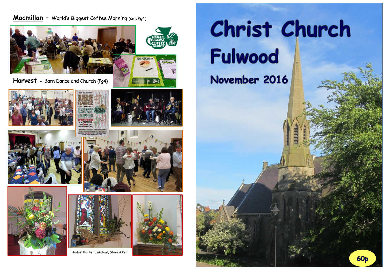# **Macmillan –** World's Biggest Coffee Morning (see Pg4)



 $\vdash$  do  $\mathbf{A}$ 

**Harvest -** Barn Dance and Church (Pg4)















Photos: thanks to Michael, Steve & Ken





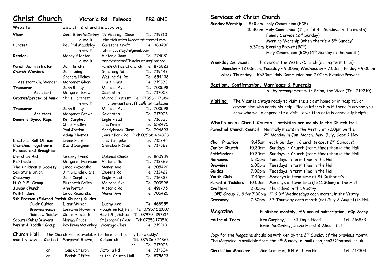**Christ Church Victoria Rd Fulwood PR2 8NE**

| Website:                                   | www.christchurchfulwood.org     |                                                                |                   |
|--------------------------------------------|---------------------------------|----------------------------------------------------------------|-------------------|
| Vicar                                      | Canon Brian McConkey<br>e-mail: | 19 Vicarage Close<br>christchurchfulwood@btinternet.com        | Tel: 719210       |
| Curate:                                    | Rev Phil Maudsley               | Garstone Croft                                                 | Tel: 383490       |
|                                            | e-mail:                         | philmaudsley7@gmail.com                                        |                   |
| Reader:                                    | Mandy Stanton                   | Victoria Road                                                  | Tel: 774081       |
|                                            | e-mail:                         | mandy.stanton@blackburn.anglican.org                           |                   |
| Parish Administrator                       | Jan Fletcher                    | Parish Office at Church                                        | Tel: 875823       |
| <b>Church Wardens</b>                      |                                 |                                                                | Tel: 719442       |
|                                            | Julia Laing<br>Graham Hickey    | Garstang Rd<br>Watling St. Rd.                                 | Tel: 654438       |
|                                            |                                 | The Chines                                                     |                   |
| Assistant Ch. Warden                       | Margaret Ghori                  | Melrose Ave                                                    | Tel: 719373       |
| Treasurer                                  | John Bailey                     |                                                                | Tel: 700598       |
| - Assistant                                | Margaret Brown                  | Colebatch                                                      | Tel: 717008       |
| Organist/Director of Music                 | Chris Hartnett                  | Munro Crescent Tel: 07896 107684                               |                   |
|                                            | e-mail:                         | choirmastersoffice@hotmail.com                                 |                   |
| Treasurer                                  | John Bailey                     | Melrose Ave                                                    | Tel: 700598       |
| - Assistant                                | Margaret Brown                  | Colebatch                                                      | Tel: 717008       |
| Deanery Synod Reps                         | Ken Curphey                     | Ingle Head                                                     | Tel: 716833       |
|                                            | Chris Hedley                    | The Drive                                                      | Tel: 652475       |
|                                            | Paul Jordan                     | Sandybrook Close                                               | Tel: 794893       |
|                                            | Adam Thomas                     | Lower Bank Rd                                                  | Tel: 07968 434328 |
| <b>Electoral Roll Officer</b>              | Irene Hurst                     | The Turnpike                                                   | Tel: 715746       |
| Churches Together in                       | David Sergeant                  | Shirebank Cres                                                 | Tel: 717882       |
| <b>Fulwood and Broughton</b>               |                                 |                                                                |                   |
| Christian Aid                              | <b>Lindsey Evans</b>            | Uplands Chase                                                  | Tel: 860939       |
| Fairtrade                                  | Margaret Harrison               | Victoria Rd                                                    | Tel: 712869       |
| The Children's Society                     | Linda Koziarska                 | Manor Ave                                                      | Tel: 705420       |
| Scripture Union                            | Jim & Linda Clare               | Queens Rd                                                      | Tel: 712422       |
| Crossway                                   | Joan Curphey                    | <b>Ingle Head</b>                                              | Tel: 716833       |
| H.O.P.E. Group                             | Elizabeth Bailey                | Melrose Ave                                                    | Tel: 700598       |
| Junior Church                              | Ann Porter                      | Victoria Rd                                                    | Tel: 491775       |
| Pathfinders                                | Linda Koziarska                 | Manor Ave                                                      | Tel: 705420       |
| 9th Preston (Fulwood Parish Church) Guides |                                 |                                                                |                   |
| Guide Guider                               | Diane Wilson                    | Duchy Ave                                                      | Tel: 468555       |
| Brownie Guider                             | Lorraine Haworth                | Houghton Rd, Pen                                               | Tel: 07957 512007 |
| Rainbow Guider                             | Claire Haworth                  | Alert St, Ashton                                               | Tel: 07970 297216 |
| Scouts/Cubs/Beavers                        | Norma Bruce                     | St Leonard's Close                                             | Tel: 07856 170516 |
| Parent & Toddler Group                     | Rev Brian McConkey              | Vicarage Close                                                 | Tel: 719210       |
| $\mathcal{L}$ bunah $\Box$ all             |                                 | The Chunch Upli is quoileble fee hine, nextigularly fee weekly |                   |

**Church Hall** The Church Hall is available for hire, particularly for weekly/

|    | monthly events. <b>Contact:</b> Margaret Brown, | Colebatch          |    | Tel: 07926 374863 |
|----|-------------------------------------------------|--------------------|----|-------------------|
|    |                                                 |                    | nr | Tel: 717008       |
| ٥r | Sue Cameron                                     | Victoria Rd        |    | Tel: 717304       |
| o۳ | Parish Office                                   | at the Church Hall |    | Tel: 875823       |

# **Services at Christ Church**

**Sunday Worship** 8.00am Holy Communion (BCP) 10.30am Holy Communion ( $1^{st}$ ,  $3^{rd}$  &  $4^{th}$  Sundays in the month) Family Service (2<sup>nd</sup> Sunday) Morning Worship (when there's a 5<sup>th</sup> Sunday) 6.30pm Evening Prayer (BCP) Holy Communion (BCP)  $(4^{th}$  Sunday in the month)

**Weekday Services:** Prayers in the Vestry/Church (during term time): **Monday** – 12.00noon; **Tuesday** – 9.00pm; **Wednesday** – 7.00am; **Friday** – 9.00am  **Also: Thursday** - 10:30am Holy Communion and 7.00pm Evening Prayers

### **Baptism, Confirmation, Marriages & Funerals**

All by arrangement with Brian, the Vicar (Tel: 719210)

**Visiting** The Vicar is always ready to visit the sick at home or in hospital, or anyone else who needs his help. Please inform him if there is anyone you know who would appreciate a visit – a written note is especially helpful.

### **What's on at Christ Church – activities are mainly in the Church Hall.**

| Parochial Church Council<br>Normally meets in the Vestry at 7.00pm on the                  |                                                                  |                                                                                               |  |  |
|--------------------------------------------------------------------------------------------|------------------------------------------------------------------|-----------------------------------------------------------------------------------------------|--|--|
|                                                                                            |                                                                  | 2 <sup>nd</sup> Monday in Jan, March, May, July, Sept & Nov.                                  |  |  |
| <b>Choir Practice</b>                                                                      | 9.45am                                                           | each Sunday in Church (except 2 <sup>nd</sup> Sundays)                                        |  |  |
| Junior Church                                                                              | 10.30am                                                          | Sundays in Church (term time) then in the Hall                                                |  |  |
| Pathfinders                                                                                | 10.30am                                                          | Sundays in Church (term time) then in the Hall                                                |  |  |
| Rainbows                                                                                   | 5.30pm                                                           | Tuesdays in term time in the Hall                                                             |  |  |
| <b>Brownies</b>                                                                            | 6.00pm                                                           | Tuesdays in term time in the Hall                                                             |  |  |
| <b>Guides</b>                                                                              | 7.00pm                                                           | Tuesdays in term time in the Hall                                                             |  |  |
| Youth Club                                                                                 | 7.45pm                                                           | Mondays in term time at St Cuthbert's                                                         |  |  |
| Parent & Toddlers                                                                          | 10.00am                                                          | Mondays in term time (to 11.30am) in the Hall                                                 |  |  |
| Crafters                                                                                   | 2.00pm                                                           | Thursdays in the Vestry                                                                       |  |  |
| HOPE Group 7.15 for 7.30pm                                                                 |                                                                  | 1st & 3rd Wednesdays each month, in the Vestry                                                |  |  |
| Crossway                                                                                   | 7.30pm                                                           | 3rd Thursday each month (not July & August) in Hall                                           |  |  |
|                                                                                            |                                                                  |                                                                                               |  |  |
|                                                                                            | Magazine<br>Published monthly, £6 annual subscription, 60p /copy |                                                                                               |  |  |
| <b>Editorial Team</b>                                                                      |                                                                  | Tel: 716833<br>Ken Curphey, 33 Ingle Head                                                     |  |  |
| Brian McConkey, Irene Hurst & Alison Tait                                                  |                                                                  |                                                                                               |  |  |
|                                                                                            |                                                                  | Copy for the Magazine should be with Ken by the 2 <sup>nd</sup> Sunday of the previous month. |  |  |
| The Magazine is available from the 4 <sup>th</sup> Sunday; e-mail: kenjoan33@hotmail.co.uk |                                                                  |                                                                                               |  |  |

| <b>Circulation Manager</b> | Sue Cameron, 104 Victoria Rd | Tel: 717304 |
|----------------------------|------------------------------|-------------|
|----------------------------|------------------------------|-------------|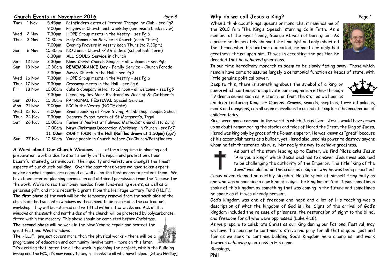### **Church Events in November 2016** Page 8

| 5.45pm<br>Pathfinders extra at Preston Trampoline Club - see Pg2<br>Tues<br>1 Nov<br>Prayers in Church each weekday (see inside back cover)<br>9.00pm |  |
|-------------------------------------------------------------------------------------------------------------------------------------------------------|--|
|                                                                                                                                                       |  |
|                                                                                                                                                       |  |
| 7.30pm<br>HOPE Group meets in the Vestry - see Pg 6<br>Wed<br>2 Nov                                                                                   |  |
| Holy Communion Service in Church (each Thurs)<br>Thur<br>10.30am<br>3 Nov                                                                             |  |
| Evening Prayers in Vestry each Thurs (to 7.30pm)<br>7.00pm                                                                                            |  |
| NO Junior Church/Pathfinders (school half-term)<br><del>10.30am</del><br>6 Nov<br>Sun                                                                 |  |
| 6.30pm<br><b>ALL SOULS Service in Church</b>                                                                                                          |  |
| 2.30pm<br>New: Christ Church Singers - all welcome - see Pq5<br>12 Nov<br>Sat                                                                         |  |
| REMEMBRANCE Day - Family Service - Church Parade<br>10.30am<br>13 Nov<br>Sun                                                                          |  |
| Messy Church in the Hall - see Pg 2<br>2.30pm                                                                                                         |  |
| HOPE Group meets in the Vestry - see Pg 6<br>7.30pm<br>Wed<br>16 Nov                                                                                  |  |
| Crossway meets in the Hall - see Pq 6<br>Thur<br>7.30pm<br>17 Nov                                                                                     |  |
| Cake & Company in Hall to 12 noon - all welcome - see Pg5<br>10.00am<br>18 Nov<br>Fri                                                                 |  |
| Licencing: Rev Mark Bradford as Vicar of St Cuthbert's<br>7.30pm                                                                                      |  |
| PATRONAL FESTIVAL Special Service<br>10.30am<br>20 Nov<br>Sun                                                                                         |  |
| 7.00pm<br>PCC in the Vestry (NOTE date)<br>Mon<br>21 Nov                                                                                              |  |
| Brian speaking at Prize Giving, Archbishop Temple School<br>Wed<br>6.00pm<br>23 Nov                                                                   |  |
| 7.30pm<br>Deanery Synod meets at St Margaret's, Ingol<br>Thur<br>24 Nov                                                                               |  |
| Farmers' Market at Fulwood Methodist Church (to 2pm)<br>10.00am<br>Sat<br>26 Nov                                                                      |  |
| New: Christmas Decoration Workshop, in Church - see Pq7<br>10.00am                                                                                    |  |
| 11.00am<br>CRAFT FAIR in the Hall (Raffles drawn at 1.30pm) (pg7)                                                                                     |  |
| Young people in Church before JunChurch/Pathfinders<br>27 Nov<br>10.30am<br>Sun                                                                       |  |

**A Word about Our Church Windows ...** after a long time in planning and preparation, work is due to start shortly on the repair and protection of our beautiful stained glass windows. Their quality and variety are amongst the finest aspects of our church building. Over the past three years we have taken expert advice on what repairs are needed as well as on the best means to protect them. We have been granted planning permission and obtained permission from the Diocese for the work. We've raised the money needed from fund-raising events, as well as a generous gift, and more recently a grant from the Heritage Lottery Fund (H.L.F.). **The first phase** of the work will be the temporary removal from the **south side** of the church of the two centre windows as these need to be repaired in the contractor's workshop. They will be returned and re-fitted within a few weeks and **ALL** of the windows on the south and north sides of the church will be protected by polycarbonate, fitted within the masonry. This phase should be completed before Christmas.

**The second phase** will be work in the New Year to repair and protect the great East and West windows.



It's exciting that, after the all the work in planning the project, within the Building Group and the PCC, it's now ready to begin! Thanks to all who have helped. [Steve Hedley]

# **Why do we call Jesus a King?** Page 1

When I think about kings, queens or monarchs, it reminds me of the 2010 film 'The King's Speech' starring Colin Firth. As a member of the royal family, George VI was not born great. As a prince he desperately shunned the limelight and only inherited the throne when his brother abdicated; he most certainly had greatness thrust upon him. It was in accepting the position he dreaded that he *achieved* greatness.



In our time hereditary monarchies seem to be slowly fading away. Those which remain have come to assume largely a ceremonial function as heads of state, with little genuine political power.

Despite this, there is something about the symbol of a king or queen which continues to captivate our imagination either through TV drama series such as 'Victoria', or from the stories we hear as

children featuring Kings or Queens. Crowns, swords, sceptres, turreted palaces, moats and dungeons, can all seem marvellous to us and still capture the imagination of children today.

Kings were more common in the world in which Jesus lived. Jesus would have grown up no doubt remembering the stories and tales of Herod the Great, the King of Judea. Herod was king only by grace of the Roman emperor. He was known as "great" because of his accomplishments as a builder, yet Herod also used his power to destroy anyone whom he felt threatened his rule. Not really the way to *achieve* greatness.



As part of the story leading up to Easter, we find Pilate asks Jesus "Are you a king?" which Jesus declines to answer. Jesus was assumed to be challenging the authority of the Emperor. The title "King of the Jews" was placed on the cross as a sign of why he was being crucified.

Jesus never claimed an earthly kingship. He did speak of himself frequently as one who was announcing a new kind of reign; the kingdom of God. Jesus sometimes spoke of this kingdom as something that was coming in the future and sometimes he spoke as if it was already present.

God's kingdom was one of freedom and hope and a lot of His teaching was a description of what the kingdom of God is like. Signs of the arrival of God's kingdom included the release of prisoners, the restoration of sight to the blind, and freedom for all who were oppressed (Luke 4:18).

As we prepare to celebrate Christ as our King during our Patronal Festival, may we have the courage to continue to strive and pray for all that is good, just and fair as we seek to continue building God's Kingdom here among us, and work towards *achieving* greatness in His name.

Blessings,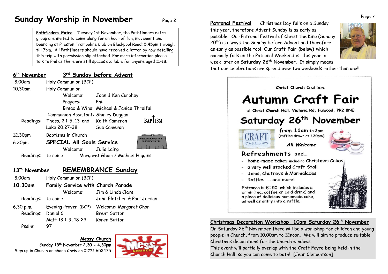# **Sunday Worship in November** Page 2

**Pathfinders Extra** - Tuesday 1st November, the Pathfinders extra group are invited to come along for an hour of fun, movement and bouncing at Preston Trampoline Club on Blackpool Road; 5.45pm through till 7pm. All Pathfinders should have received a letter by now detailing this trip with permission slip attached. For more information please talk to Phil as there are still spaces available for anyone aged 11-18.

| 6 <sup>th</sup> November  |                                          | 3rd Sunday before Advent                     |
|---------------------------|------------------------------------------|----------------------------------------------|
| 8.00am                    | Holy Communion (BCP)                     |                                              |
| 10.30am                   | Holy Communion                           |                                              |
|                           | Welcome:                                 | Joan & Ken Curphey                           |
|                           | Prayers:                                 | Phil                                         |
|                           |                                          | Bread & Wine: Michael & Janice Threlfall     |
|                           | Communion Assistant: Shirley Duggan      |                                              |
| Readings:                 | Thess. 2.1-5, 13-end                     | <b>BAPTISM</b><br>Keith Cameron              |
|                           | Luke 20.27-38                            | Sue Cameron                                  |
| 12.30pm                   | Baptisms in Church                       |                                              |
| 6.30pm                    | <b>SPECIAL All Souls Service</b>         |                                              |
|                           | Welcome:                                 | Julia Laing                                  |
| Readings:                 | to come                                  | Margaret Ghori / Michael Higgins             |
| 13 <sup>th</sup> November |                                          | <b>REMEMBRANCE Sunday</b>                    |
| 8.00am                    | Holy Communion (BCP)                     |                                              |
|                           |                                          |                                              |
| 10.30am                   | <b>Family Service with Church Parade</b> |                                              |
|                           | Welcome:                                 | Jim & Linda Clare                            |
| Readings:                 | to come                                  | John Fletcher & Paul Jordan                  |
| $6.30$ p.m.               |                                          | Evening Prayer (BCP) Welcome: Margaret Ghori |
|                           |                                          |                                              |

# Readings: Daniel 6 Brent Sutton Matt 13:1-9, 18-23 Karen Sutton

**Messy Church Sunday 13 th November 2.30 - 4.30pm** Sign up in Church or phone Chris on 01772 652475

Psalm: 97



**Patronal Festival** Christmas Day falls on a Sunday this year, therefore Advent Sunday is as early as possible. Our Patronal Festival of Christ the King (Sunday 20<sup>th</sup>) is always the Sunday before Advent and therefore as early as possible too! Our **Craft Fair (below)** which normally falls on the Patronal Weekend is, this year, a week later on **Saturday 26th November**. It simply means



that our celebrations are spread over two weekends rather than one!!



# **Christmas Decoration Workshop 10am Saturday 26th November**

On Saturday 26<sup>th</sup> November there will be a workshop for children and young people in Church, from 10.00am to 12noon. We will aim to produce suitable Christmas decorations for the Church windows.

This event will partially overlap with the Craft Fayre being held in the Church Hall, so you can come to both! [Jean Clementson]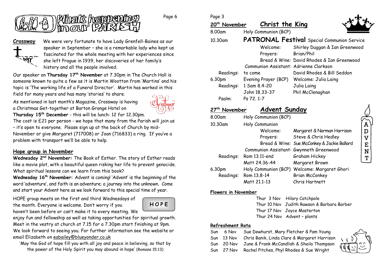

Page 6



**Crossway** We were very fortunate to have Lady Grenfell-Baines as our speaker in September – she is a remarkable lady who kept us fascinated for the whole meeting with her experiences since she left Prague in 1939, her discoveries of her family's history and all the people involved.

Our speaker on **Thursday 17 th November** at 7.30pm in The Church Hall is someone known to quite a few as it is Martin Wootton from 'Martins' and his topic is 'The working life of a Funeral Director'. Martin has worked in this field for many years and has many 'stories' to share.

As mentioned in last month's Magazine, Crossway is having a Christmas Get-together at Barton Grange Hotel on



**Thursday 15th December** - this will be lunch: 12 for 12.30pm.

The cost is £21 per person - we hope that many from the Parish will join us – it's open to everyone. Please sign up at the back of Church by mid-November or give Margaret (717008) or Joan (716833) a ring. If you've a problem with transport we'll be able to help.

## **Hope group in November**

**Wednesday 2nd November:** The Book of Esther. The story of Esther reads like a movie plot, with a beautiful queen risking her life to prevent genocide. What spiritual lessons can we learn from this book?

**Wednesday 16th November:** Advent is coming! 'Advent' is the beginning of the word 'adventure', and faith is an adventure; a journey into the unknown. Come and start your Advent here as we look forward to this special time of year.

HOPE group meets on the first and third Wednesdays of the month. Everyone is welcome. Don't worry if you haven't been before or can't make it to every meeting. We



enjoy fun and fellowship as well as taking opportunities for spiritual growth. Meet in the vestry at church at 7.15 for a 7.30pm start finishing at 9pm. We look forward to seeing you. For further information see the website or email Elizabeth on [eabailey@blueyonder.co.uk](mailto:eabailey@blueyonder.co.uk)

'May the God of hope fill you with all joy and peace in believing, so that by the power of the Holy Spirit you may abound in hope' (Romans 15:13)

|--|--|

| ruye J                    |                                        |                                                    |
|---------------------------|----------------------------------------|----------------------------------------------------|
| 20 <sup>th</sup> November | Christ the King                        |                                                    |
| 8.00am                    | Holy Communion (BCP)                   |                                                    |
| 10.30am                   |                                        | <b>PATRONAL Festival</b> Special Communion Service |
|                           | Welcome:                               | Shirley Duggan & Ian Greenwood                     |
|                           | Prayers:                               | Brian/Phil                                         |
|                           |                                        | Bread & Wine: David Rhodes & Ian Greenwood         |
|                           | Communion Assistant: Adrienne Clarkson |                                                    |
| Readings:                 | to come                                | David Rhodes & Bill Seddon                         |
| 6.30pm                    | Evening Prayer (BCP)                   | Welcome: Julia Laing                               |
|                           | Readings: 1 Sam 8.4-20                 | Julia Laing                                        |
|                           | John 18.33-37                          | Phil McClenaghan                                   |
| Psalm:                    | Ps 72, 1-7                             |                                                    |

| 27 <sup>th</sup> November | <b>Advent Sunday</b>                    |                                             |
|---------------------------|-----------------------------------------|---------------------------------------------|
| 8.00am                    | Holy Communion (BCP)                    |                                             |
| 10.30am                   | Holy Communion                          |                                             |
|                           | Welcome:                                | Margaret & Norman Harrison                  |
|                           | Prayers:                                | Steve & Chris Hedley                        |
|                           |                                         | Bread & Wine: Sue McConkey & Jackie Ballard |
|                           | Communion Assistant: Gwynneth Greenwood |                                             |
| Readings:                 | Rom 13.11-end                           | Graham Hickey                               |
|                           | Matt 24.36-44                           | Margaret Brown                              |
| 6.30pm                    | Holy Communion (BCP)                    | Welcome: Margaret Ghori                     |
| Readings:                 | Rom 13.8-14                             | <b>Brian McConkey</b>                       |
|                           | Matt 21.1-13                            | Chris Hartnett                              |

## **Flowers in November**

Thur 3 Nov Hilary Catchpole Thur 10 Nov Judith Rawson & Barbara Barber Thur 17 Nov Joyce Masterton Thur 24 Nov Advent – plants

### **Refreshment Rota**

| Sun | 6 Nov      | Sue Dewhurst, Mary Fletcher & Pam Young      |  |
|-----|------------|----------------------------------------------|--|
|     | Sun 13 Nov | Chris Banik, Linda Clare & Margaret Harrison |  |
|     | Sun 20 Nov | June & Frank McCandlish & Sheila Thompson    |  |
|     | Sun 27 Nov | Rachel Pitches, Phyl Rhodes & Sue Wright     |  |



 $\mathbf{v}$  $E$ N T